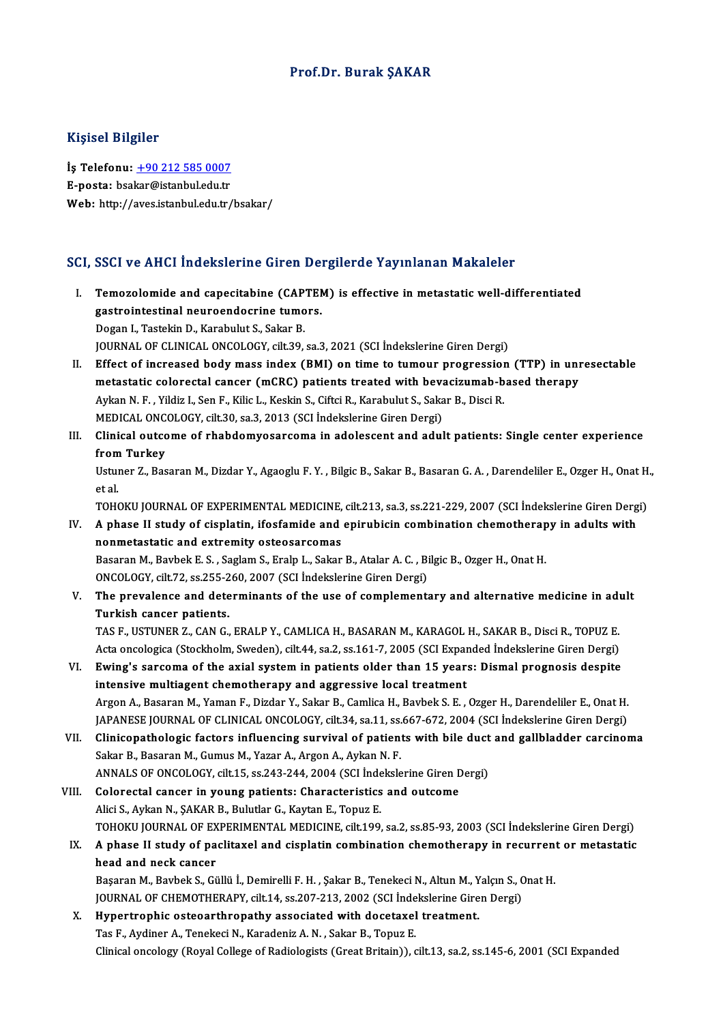### Prof.Dr. Burak ŞAKAR

### Kişisel Bilgiler

Kişisel Bilgiler<br>İş Telefonu: <u>+90 212 585 0007</u><br>E nosta: beskar@istanbul.cdu.tr 11191001 Dugnot<br>İş Telefonu: <u>+90 212 585 0007</u><br>E-posta: bsa[kar@istanbul.edu.tr](tel:+90 212 585 0007) E-posta: bsakar@istanbul.edu.tr<br>Web: http://aves.istanbul.edu.tr/bsakar/

# SCI, SSCI ve AHCI İndekslerine Giren Dergilerde Yayınlanan Makaleler

- I. Temozolomide and capecitabine (CAPTEM) is effective in metastatic well-differentiated gastrointestinal neuronalistinal directions<br>gastrointestinal neuroendocrine tumors.<br>Degan L. Testekin D. Karabulut S. Sekar P. Temozolomide and capecitabine (CAP<br>gastrointestinal neuroendocrine tumo<br>Dogan I., Tastekin D., Karabulut S., Sakar B.<br>JOUPMAL OF CLINICAL ONCOLOCY silt 29 Dogan I., Tastekin D., Karabulut S., Sakar B.<br>JOURNAL OF CLINICAL ONCOLOGY, cilt.39, sa.3, 2021 (SCI İndekslerine Giren Dergi) Dogan I., Tastekin D., Karabulut S., Sakar B.<br>JOURNAL OF CLINICAL ONCOLOGY, cilt.39, sa.3, 2021 (SCI İndekslerine Giren Dergi)<br>II. Effect of increased body mass index (BMI) on time to tumour progression (TTP) in unresectab
- JOURNAL OF CLINICAL ONCOLOGY, cilt.39, sa.3, 2021 (SCI İndekslerine Giren Dergi)<br>Effect of increased body mass index (BMI) on time to tumour progression (TTP) in uni<br>metastatic colorectal cancer (mCRC) patients treated wit Effect of increased body mass index (BMI) on time to tumour progression<br>metastatic colorectal cancer (mCRC) patients treated with bevacizumab-b<br>Aykan N. F. , Yildiz I., Sen F., Kilic L., Keskin S., Ciftci R., Karabulut S., metastatic colorectal cancer (mCRC) patients treated with beva<br>Aykan N. F. , Yildiz I., Sen F., Kilic L., Keskin S., Ciftci R., Karabulut S., Saka<br>MEDICAL ONCOLOGY, cilt.30, sa.3, 2013 (SCI İndekslerine Giren Dergi)<br>Clinic
- Aykan N. F. , Yildiz I., Sen F., Kilic L., Keskin S., Ciftci R., Karabulut S., Sakar B., Disci R.<br>MEDICAL ONCOLOGY, cilt.30, sa.3, 2013 (SCI Indekslerine Giren Dergi)<br>III. Clinical outcome of rhabdomyosarcoma in adolescent MEDICAL ONC<br>Clinical outco<br>from Turkey<br>Usturer 7, Pee Clinical outcome of rhabdomyosarcoma in adolescent and adult patients: Single center experience<br>from Turkey<br>Ustuner Z., Basaran M., Dizdar Y., Agaoglu F. Y. , Bilgic B., Sakar B., Basaran G. A. , Darendeliler E., Ozger H.,

from<br>Ustui<br>et al.<br>TOH Ustuner Z., Basaran M., Dizdar Y., Agaoglu F. Y. , Bilgic B., Sakar B., Basaran G. A. , Darendeliler E., Ozger H., Onat H<br>et al.<br>TOHOKU JOURNAL OF EXPERIMENTAL MEDICINE, cilt.213, sa.3, ss.221-229, 2007 (SCI İndekslerine G

- et al.<br>IV. A phase II study of EXPERIMENTAL MEDICINE, cilt.213, sa.3, ss.221-229, 2007 (SCI indekslerine Giren Derg<br>IV. A phase II study of cisplatin, ifosfamide and epirubicin combination chemotherapy in adults with<br>nonmo TOHOKU JOURNAL OF EXPERIMENTAL MEDICINE, cilt.213, sa.3, ss.221-229, 2007 (SCI Indekslerine Giren Dergi) A phase II study of cisplatin, ifosfamide and epirubicin combination chemotherapy in adults with nonmetastatic and ex A phase II study of cisplatin, ifosfamide and epirubicin combination chemotherap<br>nonmetastatic and extremity osteosarcomas<br>Basaran M., Bavbek E. S. , Saglam S., Eralp L., Sakar B., Atalar A. C. , Bilgic B., Ozger H., Onat nonmetastatic and extremity osteosarcomas<br>Basaran M., Bavbek E. S. , Saglam S., Eralp L., Sakar B., Atalar A. C. , Bi<br>ONCOLOGY, cilt.72, ss.255-260, 2007 (SCI İndekslerine Giren Dergi)<br>The prevelence and determinants of th
- V. The prevalence and determinants of the use of complementary and alternative medicine in adult<br>Turkish cancer patients. ONCOLOGY, cilt.72, ss.255-2<br>The prevalence and dete<br>Turkish cancer patients.<br>TAS E USTUNER 7, CAN.C. The prevalence and determinants of the use of complementary and alternative medicine in advantant and the control of the use of complementary and alternative medicine in advantant and the control of the control of the cont

Turkish cancer patients.<br>TAS F., USTUNER Z., CAN G., ERALP Y., CAMLICA H., BASARAN M., KARAGOL H., SAKAR B., Disci R., TOPUZ E.<br>Acta oncologica (Stockholm, Sweden), cilt.44, sa.2, ss.161-7, 2005 (SCI Expanded İndekslerine TAS F., USTUNER Z., CAN G., ERALP Y., CAMLICA H., BASARAN M., KARAGOL H., SAKAR B., Disci R., TOPUZ E.<br>Acta oncologica (Stockholm, Sweden), cilt.44, sa.2, ss.161-7, 2005 (SCI Expanded Indekslerine Giren Dergi)<br>VI. Ewing's

- Acta oncologica (Stockholm, Sweden), cilt.44, sa.2, ss.161-7, 2005 (SCI Expanded Indekslerine Giren Dergi)<br>VI. Ewing's sarcoma of the axial system in patients older than 15 years: Dismal prognosis despite<br>intensive multiag Ewing's sarcoma of the axial system in patients older than 15 years: Dismal prognosis despite<br>intensive multiagent chemotherapy and aggressive local treatment<br>Argon A., Basaran M., Yaman F., Dizdar Y., Sakar B., Camlica H. intensive multiagent chemotherapy and aggressive local treatment<br>Argon A., Basaran M., Yaman F., Dizdar Y., Sakar B., Camlica H., Bavbek S. E. , Ozger H., Darendeliler E., Onat H.<br>JAPANESE JOURNAL OF CLINICAL ONCOLOGY, cil Argon A., Basaran M., Yaman F., Dizdar Y., Sakar B., Camlica H., Bavbek S. E. , Ozger H., Darendeliler E., Onat H.<br>JAPANESE JOURNAL OF CLINICAL ONCOLOGY, cilt.34, sa.11, ss.667-672, 2004 (SCI İndekslerine Giren Dergi)<br>VII.
- JAPANESE JOURNAL OF CLINICAL ONCOLOGY, cilt.34, sa.11, ss.667-672, 2004 (SCI Indekslerine Giren Dergi)<br>Clinicopathologic factors influencing survival of patients with bile duct and gallbladder carcinor<br>Sakar B., Basaran M. Clinicopathologic factors influencing survival of patients with bile duct<br>Sakar B., Basaran M., Gumus M., Yazar A., Argon A., Aykan N. F.<br>ANNALS OF ONCOLOGY, cilt.15, ss.243-244, 2004 (SCI İndekslerine Giren Dergi)<br>Celenes Sakar B., Basaran M., Gumus M., Yazar A., Argon A., Aykan N. F.<br>ANNALS OF ONCOLOGY, cilt.15, ss.243-244, 2004 (SCI İndekslerine Giren D<br>VIII. Colorectal cancer in young patients: Characteristics and outcome
- ANNALS OF ONCOLOGY, cilt.15, ss.243-244, 2004 (SCI İnde<br>Colorectal cancer in young patients: Characteristics<br>Alici S., Aykan N., ŞAKAR B., Bulutlar G., Kaytan E., Topuz E.<br>TOHOKU JOURNAL OF EXPERIMENTAL MEDICINE silt 199 Colorectal cancer in young patients: Characteristics and outcome<br>Alici S., Aykan N., ŞAKAR B., Bulutlar G., Kaytan E., Topuz E.<br>TOHOKU JOURNAL OF EXPERIMENTAL MEDICINE, cilt.199, sa.2, ss.85-93, 2003 (SCI İndekslerine Gire Alici S., Aykan N., ŞAKAR B., Bulutlar G., Kaytan E., Topuz E.<br>TOHOKU JOURNAL OF EXPERIMENTAL MEDICINE, cilt.199, sa.2, ss.85-93, 2003 (SCI İndekslerine Giren Dergi)<br>IX. A phase II study of paclitaxel and cisplatin com
- TOHOKU JOURNAL OF EX<br>A phase II study of pa<br>head and neck cancer<br>Becaran M. Baybels S. Ci A phase II study of paclitaxel and cisplatin combination chemotherapy in recurrent<br>head and neck cancer<br>Başaran M., Bavbek S., Güllü İ., Demirelli F. H. , Şakar B., Tenekeci N., Altun M., Yalçın S., Onat H.<br>JOUPNAL OF CHEM

head and neck cancer<br>Başaran M., Bavbek S., Güllü İ., Demirelli F. H. , Şakar B., Tenekeci N., Altun M., Yalçın S., C<br>JOURNAL OF CHEMOTHERAPY, cilt.14, ss.207-213, 2002 (SCI İndekslerine Giren Dergi)<br>Hunestrenbis estegarth Başaran M., Bavbek S., Güllü İ., Demirelli F. H. , Şakar B., Tenekeci N., Altun M., Y<br>JOURNAL OF CHEMOTHERAPY, cilt.14, ss.207-213, 2002 (SCI İndekslerine Gire<br>X. Hypertrophic osteoarthropathy associated with docetaxel tre

JOURNAL OF CHEMOTHERAPY, cilt.14, ss.207-213, 2002 (SCI Inde<br>Hypertrophic osteoarthropathy associated with docetaxel<br>Tas F., Aydiner A., Tenekeci N., Karadeniz A. N. , Sakar B., Topuz E.<br>Clinical ongology (Boyal College of X. Hypertrophic osteoarthropathy associated with docetaxel treatment.<br>Tas F., Aydiner A., Tenekeci N., Karadeniz A. N. , Sakar B., Topuz E.<br>Clinical oncology (Royal College of Radiologists (Great Britain)), cilt.13, sa.2,